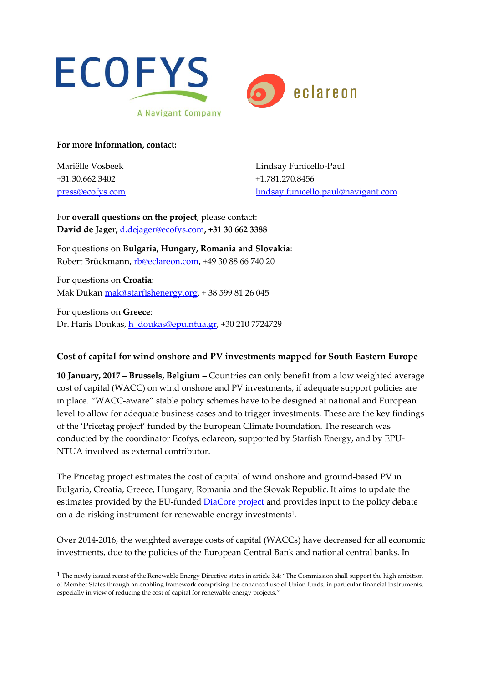



**For more information, contact:**

Mariëlle Vosbeek +31.30.662.3402 press@ecofys.com

Lindsay Funicello-Paul +1.781.270.8456 lindsay.funicello.paul@navigant.com

For **overall questions on the project**, please contact: **David de Jager,** d.dejager@ecofys.com**, +31 30 662 3388**

For questions on **Bulgaria, Hungary, Romania and Slovakia**: Robert Brückmann, rb@eclareon.com, +49 30 88 66 740 20

For questions on **Croatia**: Mak Dukan mak@starfishenergy.org, + 38 599 81 26 045

For questions on **Greece**: Dr. Haris Doukas, h\_doukas@epu.ntua.gr, +30 210 7724729

# **Cost of capital for wind onshore and PV investments mapped for South Eastern Europe**

**10 January, 2017 – Brussels, Belgium –** Countries can only benefit from a low weighted average cost of capital (WACC) on wind onshore and PV investments, if adequate support policies are in place. "WACC-aware" stable policy schemes have to be designed at national and European level to allow for adequate business cases and to trigger investments. These are the key findings of the 'Pricetag project' funded by the European Climate Foundation. The research was conducted by the coordinator Ecofys, eclareon, supported by Starfish Energy, and by EPU-NTUA involved as external contributor.

The Pricetag project estimates the cost of capital of wind onshore and ground-based PV in Bulgaria, Croatia, Greece, Hungary, Romania and the Slovak Republic. It aims to update the estimates provided by the EU-funded DiaCore project and provides input to the policy debate on a de-risking instrument for renewable energy investments1.

Over 2014-2016, the weighted average costs of capital (WACCs) have decreased for all economic investments, due to the policies of the European Central Bank and national central banks. In

 <sup>1</sup> The newly issued recast of the Renewable Energy Directive states in article 3.4: "The Commission shall support the high ambition of Member States through an enabling framework comprising the enhanced use of Union funds, in particular financial instruments, especially in view of reducing the cost of capital for renewable energy projects."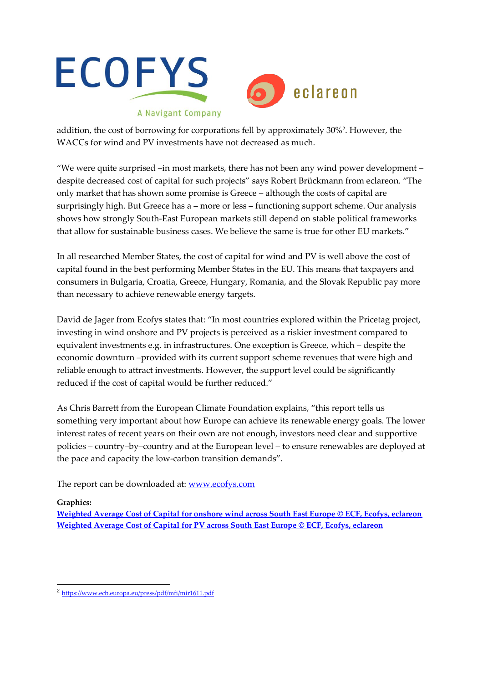



addition, the cost of borrowing for corporations fell by approximately 30%2. However, the WACCs for wind and PV investments have not decreased as much.

"We were quite surprised –in most markets, there has not been any wind power development – despite decreased cost of capital for such projects" says Robert Brückmann from eclareon. "The only market that has shown some promise is Greece – although the costs of capital are surprisingly high. But Greece has a – more or less – functioning support scheme. Our analysis shows how strongly South-East European markets still depend on stable political frameworks that allow for sustainable business cases. We believe the same is true for other EU markets."

In all researched Member States, the cost of capital for wind and PV is well above the cost of capital found in the best performing Member States in the EU. This means that taxpayers and consumers in Bulgaria, Croatia, Greece, Hungary, Romania, and the Slovak Republic pay more than necessary to achieve renewable energy targets.

David de Jager from Ecofys states that: "In most countries explored within the Pricetag project, investing in wind onshore and PV projects is perceived as a riskier investment compared to equivalent investments e.g. in infrastructures. One exception is Greece, which – despite the economic downturn –provided with its current support scheme revenues that were high and reliable enough to attract investments. However, the support level could be significantly reduced if the cost of capital would be further reduced."

As Chris Barrett from the European Climate Foundation explains, "this report tells us something very important about how Europe can achieve its renewable energy goals. The lower interest rates of recent years on their own are not enough, investors need clear and supportive policies – country–by–country and at the European level – to ensure renewables are deployed at the pace and capacity the low-carbon transition demands".

The report can be downloaded at: www.ecofys.com

# **Graphics:**

**Weighted Average Cost of Capital for onshore wind across South East Europe © ECF, Ecofys, eclareon Weighted Average Cost of Capital for PV across South East Europe © ECF, Ecofys, eclareon**

 <sup>2</sup> https://www.ecb.europa.eu/press/pdf/mfi/mir1611.pdf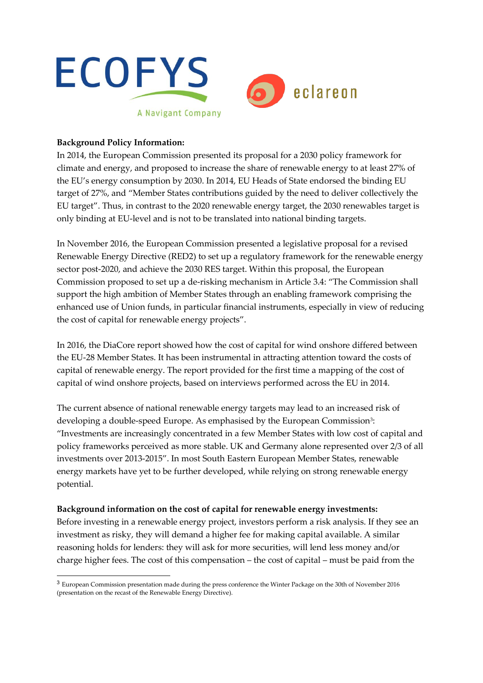

## **Background Policy Information:**

In 2014, the European Commission presented its proposal for a 2030 policy framework for climate and energy, and proposed to increase the share of renewable energy to at least 27% of the EU's energy consumption by 2030. In 2014, EU Heads of State endorsed the binding EU target of 27%, and "Member States contributions guided by the need to deliver collectively the EU target". Thus, in contrast to the 2020 renewable energy target, the 2030 renewables target is only binding at EU-level and is not to be translated into national binding targets.

In November 2016, the European Commission presented a legislative proposal for a revised Renewable Energy Directive (RED2) to set up a regulatory framework for the renewable energy sector post-2020, and achieve the 2030 RES target. Within this proposal, the European Commission proposed to set up a de-risking mechanism in Article 3.4: "The Commission shall support the high ambition of Member States through an enabling framework comprising the enhanced use of Union funds, in particular financial instruments, especially in view of reducing the cost of capital for renewable energy projects".

In 2016, the DiaCore report showed how the cost of capital for wind onshore differed between the EU-28 Member States. It has been instrumental in attracting attention toward the costs of capital of renewable energy. The report provided for the first time a mapping of the cost of capital of wind onshore projects, based on interviews performed across the EU in 2014.

The current absence of national renewable energy targets may lead to an increased risk of developing a double-speed Europe. As emphasised by the European Commission<sup>3</sup>: "Investments are increasingly concentrated in a few Member States with low cost of capital and policy frameworks perceived as more stable. UK and Germany alone represented over 2/3 of all investments over 2013-2015". In most South Eastern European Member States, renewable energy markets have yet to be further developed, while relying on strong renewable energy potential.

### **Background information on the cost of capital for renewable energy investments:**

Before investing in a renewable energy project, investors perform a risk analysis. If they see an investment as risky, they will demand a higher fee for making capital available. A similar reasoning holds for lenders: they will ask for more securities, will lend less money and/or charge higher fees. The cost of this compensation – the cost of capital – must be paid from the

 <sup>3</sup> European Commission presentation made during the press conference the Winter Package on the 30th of November 2016 (presentation on the recast of the Renewable Energy Directive).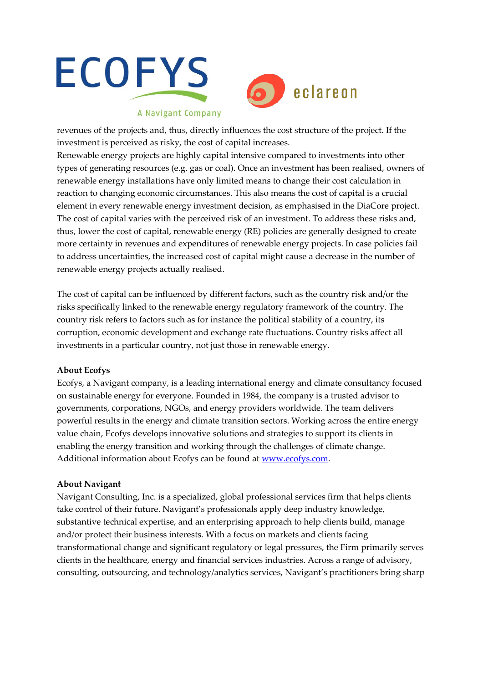



## A Navigant Company

revenues of the projects and, thus, directly influences the cost structure of the project. If the investment is perceived as risky, the cost of capital increases.

Renewable energy projects are highly capital intensive compared to investments into other types of generating resources (e.g. gas or coal). Once an investment has been realised, owners of renewable energy installations have only limited means to change their cost calculation in reaction to changing economic circumstances. This also means the cost of capital is a crucial element in every renewable energy investment decision, as emphasised in the DiaCore project. The cost of capital varies with the perceived risk of an investment. To address these risks and, thus, lower the cost of capital, renewable energy (RE) policies are generally designed to create more certainty in revenues and expenditures of renewable energy projects. In case policies fail to address uncertainties, the increased cost of capital might cause a decrease in the number of renewable energy projects actually realised.

The cost of capital can be influenced by different factors, such as the country risk and/or the risks specifically linked to the renewable energy regulatory framework of the country. The country risk refers to factors such as for instance the political stability of a country, its corruption, economic development and exchange rate fluctuations. Country risks affect all investments in a particular country, not just those in renewable energy.

### **About Ecofys**

Ecofys, a Navigant company, is a leading international energy and climate consultancy focused on sustainable energy for everyone. Founded in 1984, the company is a trusted advisor to governments, corporations, NGOs, and energy providers worldwide. The team delivers powerful results in the energy and climate transition sectors. Working across the entire energy value chain, Ecofys develops innovative solutions and strategies to support its clients in enabling the energy transition and working through the challenges of climate change. Additional information about Ecofys can be found at www.ecofys.com.

### **About Navigant**

Navigant Consulting, Inc. is a specialized, global professional services firm that helps clients take control of their future. Navigant's professionals apply deep industry knowledge, substantive technical expertise, and an enterprising approach to help clients build, manage and/or protect their business interests. With a focus on markets and clients facing transformational change and significant regulatory or legal pressures, the Firm primarily serves clients in the healthcare, energy and financial services industries. Across a range of advisory, consulting, outsourcing, and technology/analytics services, Navigant's practitioners bring sharp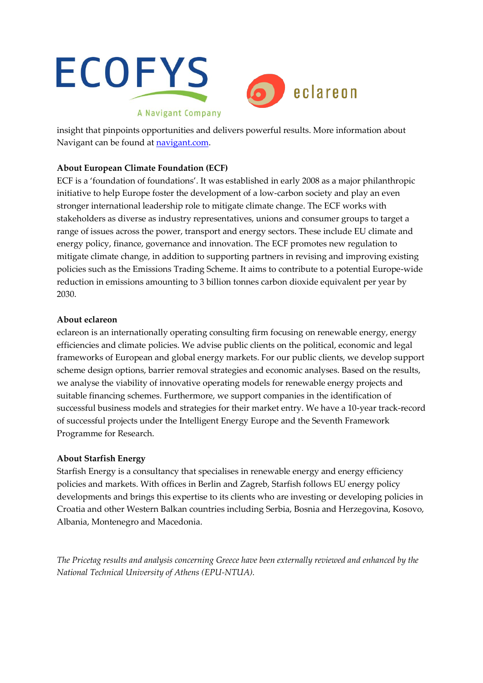

insight that pinpoints opportunities and delivers powerful results. More information about Navigant can be found at navigant.com.

## **About European Climate Foundation (ECF)**

ECF is a 'foundation of foundations'. It was established in early 2008 as a major philanthropic initiative to help Europe foster the development of a low-carbon society and play an even stronger international leadership role to mitigate climate change. The ECF works with stakeholders as diverse as industry representatives, unions and consumer groups to target a range of issues across the power, transport and energy sectors. These include EU climate and energy policy, finance, governance and innovation. The ECF promotes new regulation to mitigate climate change, in addition to supporting partners in revising and improving existing policies such as the Emissions Trading Scheme. It aims to contribute to a potential Europe-wide reduction in emissions amounting to 3 billion tonnes carbon dioxide equivalent per year by 2030.

## **About eclareon**

eclareon is an internationally operating consulting firm focusing on renewable energy, energy efficiencies and climate policies. We advise public clients on the political, economic and legal frameworks of European and global energy markets. For our public clients, we develop support scheme design options, barrier removal strategies and economic analyses. Based on the results, we analyse the viability of innovative operating models for renewable energy projects and suitable financing schemes. Furthermore, we support companies in the identification of successful business models and strategies for their market entry. We have a 10-year track-record of successful projects under the Intelligent Energy Europe and the Seventh Framework Programme for Research.

## **About Starfish Energy**

Starfish Energy is a consultancy that specialises in renewable energy and energy efficiency policies and markets. With offices in Berlin and Zagreb, Starfish follows EU energy policy developments and brings this expertise to its clients who are investing or developing policies in Croatia and other Western Balkan countries including Serbia, Bosnia and Herzegovina, Kosovo, Albania, Montenegro and Macedonia.

*The Pricetag results and analysis concerning Greece have been externally reviewed and enhanced by the National Technical University of Athens (EPU-NTUA).*